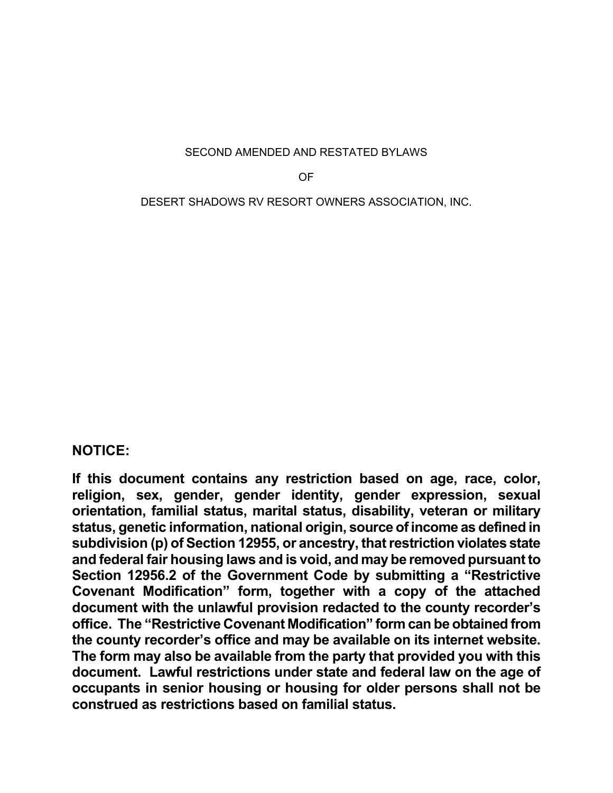SECOND AMENDED AND RESTATED BYLAWS

OF

DESERT SHADOWS RV RESORT OWNERS ASSOCIATION, INC.

# **NOTICE:**

**If this document contains any restriction based on age, race, color, religion, sex, gender, gender identity, gender expression, sexual orientation, familial status, marital status, disability, veteran or military status, genetic information, national origin, source of income as defined in subdivision (p) of Section 12955, or ancestry, that restriction violates state and federal fair housing laws and is void, and may be removed pursuant to Section 12956.2 of the Government Code by submitting a "Restrictive Covenant Modification" form, together with a copy of the attached document with the unlawful provision redacted to the county recorder's office. The "Restrictive Covenant Modification" form can be obtained from the county recorder's office and may be available on its internet website. The form may also be available from the party that provided you with this document. Lawful restrictions under state and federal law on the age of occupants in senior housing or housing for older persons shall not be construed as restrictions based on familial status.**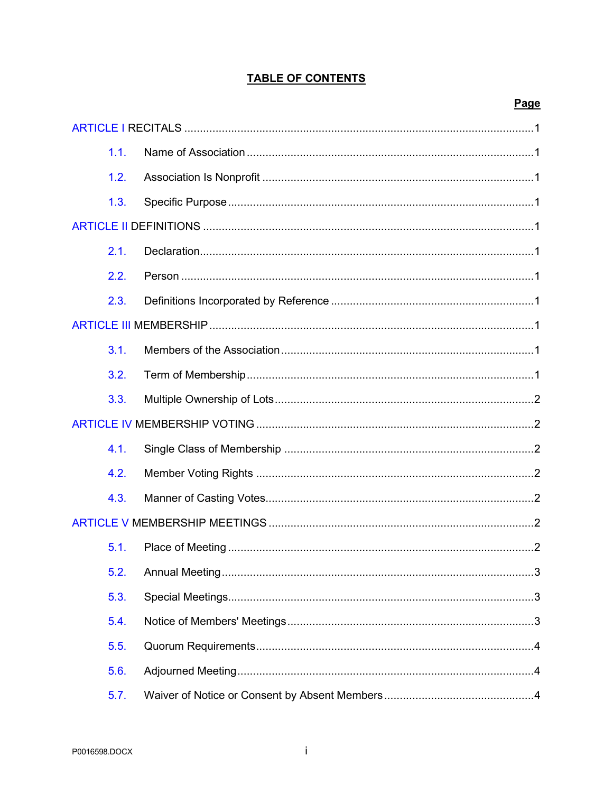## **TABLE OF CONTENTS**

### Page

| 1.1. |  |  |  |  |
|------|--|--|--|--|
| 1.2. |  |  |  |  |
| 1.3. |  |  |  |  |
|      |  |  |  |  |
| 2.1. |  |  |  |  |
| 2.2. |  |  |  |  |
| 2.3. |  |  |  |  |
|      |  |  |  |  |
| 3.1. |  |  |  |  |
| 3.2. |  |  |  |  |
| 3.3. |  |  |  |  |
|      |  |  |  |  |
| 4.1. |  |  |  |  |
| 4.2. |  |  |  |  |
| 4.3. |  |  |  |  |
|      |  |  |  |  |
| 5.1. |  |  |  |  |
| 5.2. |  |  |  |  |
| 5.3. |  |  |  |  |
| 5.4. |  |  |  |  |
| 5.5. |  |  |  |  |
| 5.6. |  |  |  |  |
| 5.7. |  |  |  |  |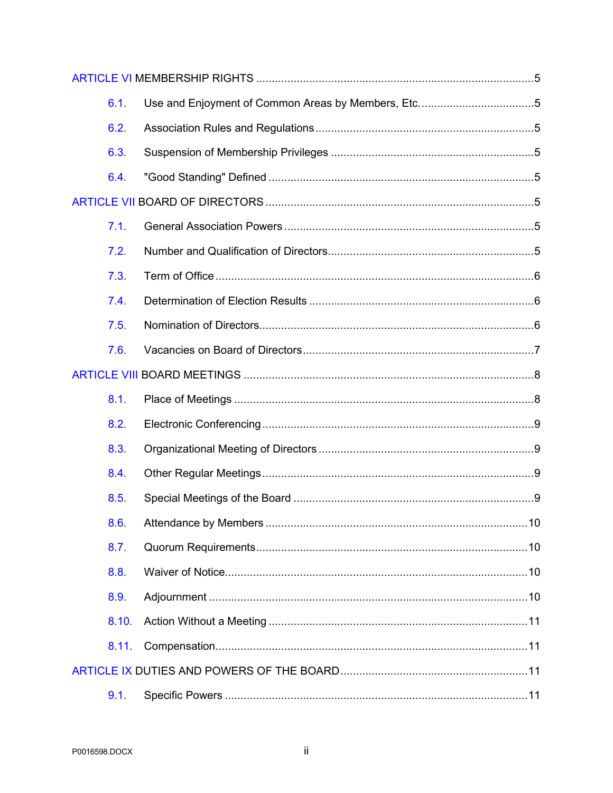|  | 6.1.  |  |  |  |
|--|-------|--|--|--|
|  | 6.2.  |  |  |  |
|  | 6.3.  |  |  |  |
|  | 6.4.  |  |  |  |
|  |       |  |  |  |
|  | 7.1.  |  |  |  |
|  | 7.2.  |  |  |  |
|  | 7.3.  |  |  |  |
|  | 7.4.  |  |  |  |
|  | 7.5.  |  |  |  |
|  | 7.6.  |  |  |  |
|  |       |  |  |  |
|  |       |  |  |  |
|  | 8.1.  |  |  |  |
|  | 8.2.  |  |  |  |
|  | 8.3.  |  |  |  |
|  | 8.4.  |  |  |  |
|  | 8.5.  |  |  |  |
|  | 8.6.  |  |  |  |
|  | 8.7.  |  |  |  |
|  | 8.8.  |  |  |  |
|  | 8.9.  |  |  |  |
|  | 8.10. |  |  |  |
|  | 8.11. |  |  |  |
|  |       |  |  |  |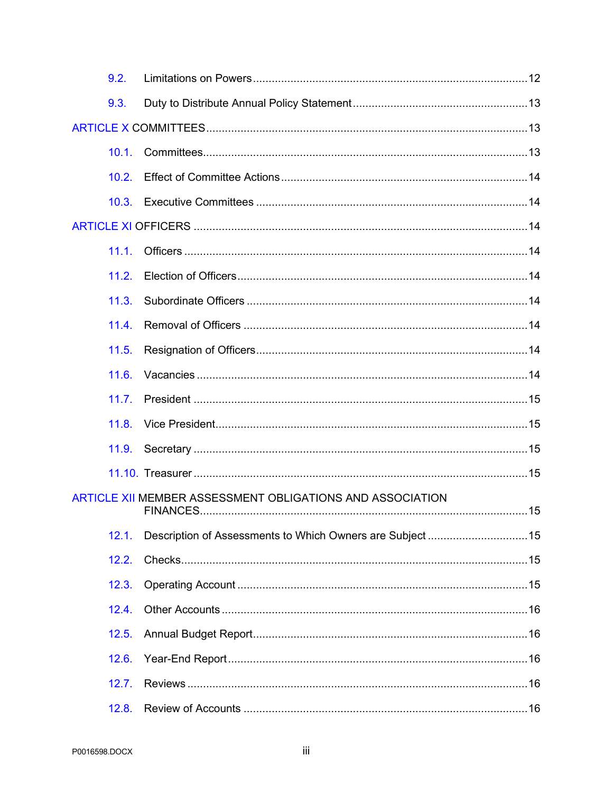| 9.2.  |                                                           |  |  |  |  |
|-------|-----------------------------------------------------------|--|--|--|--|
| 9.3.  |                                                           |  |  |  |  |
|       |                                                           |  |  |  |  |
| 10.1. |                                                           |  |  |  |  |
| 10.2. |                                                           |  |  |  |  |
| 10.3. |                                                           |  |  |  |  |
|       |                                                           |  |  |  |  |
| 11.1. |                                                           |  |  |  |  |
| 11.2. |                                                           |  |  |  |  |
| 11.3. |                                                           |  |  |  |  |
| 11.4. |                                                           |  |  |  |  |
| 11.5. |                                                           |  |  |  |  |
| 11.6. |                                                           |  |  |  |  |
| 11.7. |                                                           |  |  |  |  |
| 11.8. |                                                           |  |  |  |  |
|       |                                                           |  |  |  |  |
|       |                                                           |  |  |  |  |
|       | ARTICLE XII MEMBER ASSESSMENT OBLIGATIONS AND ASSOCIATION |  |  |  |  |
| 12.1. |                                                           |  |  |  |  |
| 12.2. |                                                           |  |  |  |  |
| 12.3. |                                                           |  |  |  |  |
| 12.4. |                                                           |  |  |  |  |
| 12.5. |                                                           |  |  |  |  |
| 12.6. |                                                           |  |  |  |  |
| 12.7. |                                                           |  |  |  |  |
| 12.8. |                                                           |  |  |  |  |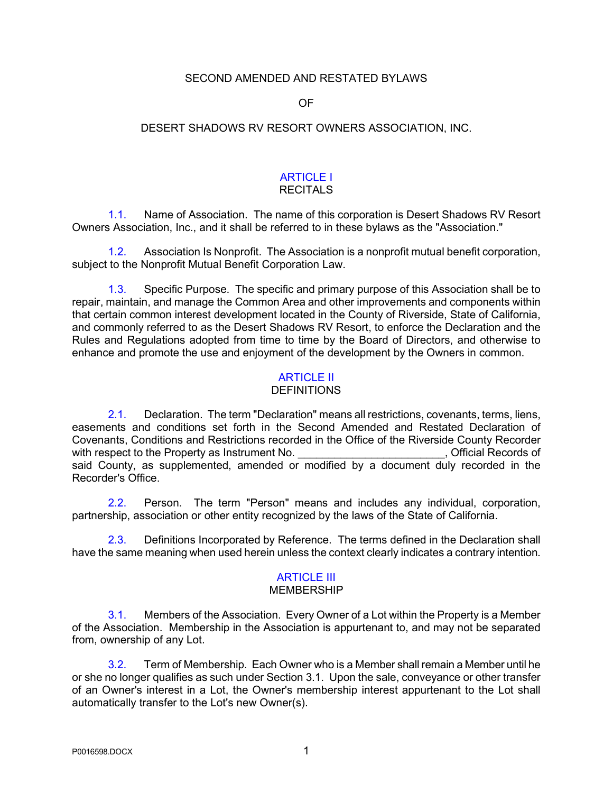#### SECOND AMENDED AND RESTATED BYLAWS

OF

#### DESERT SHADOWS RV RESORT OWNERS ASSOCIATION, INC.

# ARTICLE I

## **RECITALS**

1.1. Name of Association. The name of this corporation is Desert Shadows RV Resort Owners Association, Inc., and it shall be referred to in these bylaws as the "Association."

1.2. Association Is Nonprofit. The Association is a nonprofit mutual benefit corporation, subject to the Nonprofit Mutual Benefit Corporation Law.

1.3. Specific Purpose. The specific and primary purpose of this Association shall be to repair, maintain, and manage the Common Area and other improvements and components within that certain common interest development located in the County of Riverside, State of California, and commonly referred to as the Desert Shadows RV Resort, to enforce the Declaration and the Rules and Regulations adopted from time to time by the Board of Directors, and otherwise to enhance and promote the use and enjoyment of the development by the Owners in common.

### ARTICLE II

#### **DEFINITIONS**

2.1. Declaration. The term "Declaration" means all restrictions, covenants, terms, liens, easements and conditions set forth in the Second Amended and Restated Declaration of Covenants, Conditions and Restrictions recorded in the Office of the Riverside County Recorder with respect to the Property as Instrument No. **Example 20 and Section** 1. Official Records of said County, as supplemented, amended or modified by a document duly recorded in the Recorder's Office.

2.2. Person. The term "Person" means and includes any individual, corporation, partnership, association or other entity recognized by the laws of the State of California.

2.3. Definitions Incorporated by Reference. The terms defined in the Declaration shall have the same meaning when used herein unless the context clearly indicates a contrary intention.

### **ARTICLE III**

#### MEMBERSHIP

3.1. Members of the Association. Every Owner of a Lot within the Property is a Member of the Association. Membership in the Association is appurtenant to, and may not be separated from, ownership of any Lot.

3.2. Term of Membership. Each Owner who is a Member shall remain a Member until he or she no longer qualifies as such under Section 3.1. Upon the sale, conveyance or other transfer of an Owner's interest in a Lot, the Owner's membership interest appurtenant to the Lot shall automatically transfer to the Lot's new Owner(s).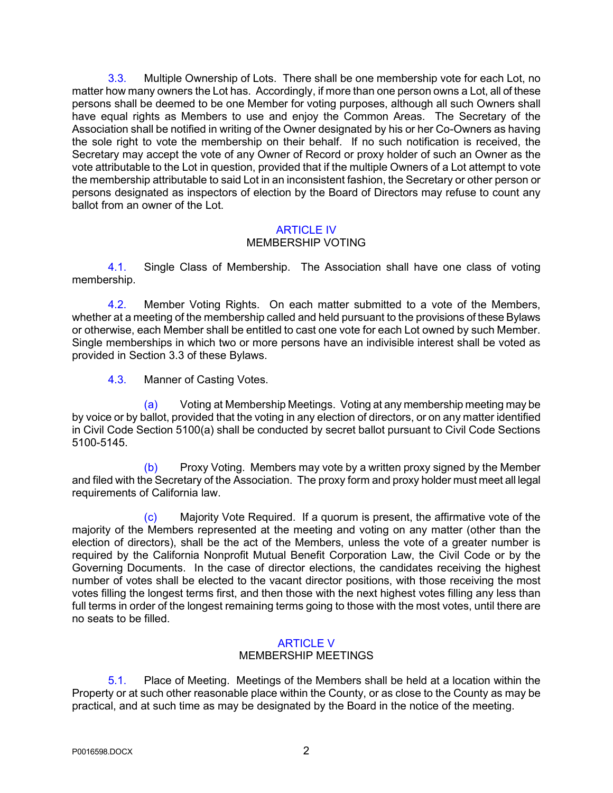3.3. Multiple Ownership of Lots. There shall be one membership vote for each Lot, no matter how many owners the Lot has. Accordingly, if more than one person owns a Lot, all of these persons shall be deemed to be one Member for voting purposes, although all such Owners shall have equal rights as Members to use and enjoy the Common Areas. The Secretary of the Association shall be notified in writing of the Owner designated by his or her Co-Owners as having the sole right to vote the membership on their behalf. If no such notification is received, the Secretary may accept the vote of any Owner of Record or proxy holder of such an Owner as the vote attributable to the Lot in question, provided that if the multiple Owners of a Lot attempt to vote the membership attributable to said Lot in an inconsistent fashion, the Secretary or other person or persons designated as inspectors of election by the Board of Directors may refuse to count any ballot from an owner of the Lot.

#### ARTICLE IV

#### MEMBERSHIP VOTING

4.1. Single Class of Membership. The Association shall have one class of voting membership.

4.2. Member Voting Rights. On each matter submitted to a vote of the Members, whether at a meeting of the membership called and held pursuant to the provisions of these Bylaws or otherwise, each Member shall be entitled to cast one vote for each Lot owned by such Member. Single memberships in which two or more persons have an indivisible interest shall be voted as provided in Section 3.3 of these Bylaws.

4.3. Manner of Casting Votes.

(a) Voting at Membership Meetings. Voting at any membership meeting may be by voice or by ballot, provided that the voting in any election of directors, or on any matter identified in Civil Code Section 5100(a) shall be conducted by secret ballot pursuant to Civil Code Sections 5100-5145.

(b) Proxy Voting. Members may vote by a written proxy signed by the Member and filed with the Secretary of the Association. The proxy form and proxy holder must meet all legal requirements of California law.

(c) Majority Vote Required. If a quorum is present, the affirmative vote of the majority of the Members represented at the meeting and voting on any matter (other than the election of directors), shall be the act of the Members, unless the vote of a greater number is required by the California Nonprofit Mutual Benefit Corporation Law, the Civil Code or by the Governing Documents. In the case of director elections, the candidates receiving the highest number of votes shall be elected to the vacant director positions, with those receiving the most votes filling the longest terms first, and then those with the next highest votes filling any less than full terms in order of the longest remaining terms going to those with the most votes, until there are no seats to be filled.

### ARTICLE V

### MEMBERSHIP MEETINGS

5.1. Place of Meeting. Meetings of the Members shall be held at a location within the Property or at such other reasonable place within the County, or as close to the County as may be practical, and at such time as may be designated by the Board in the notice of the meeting.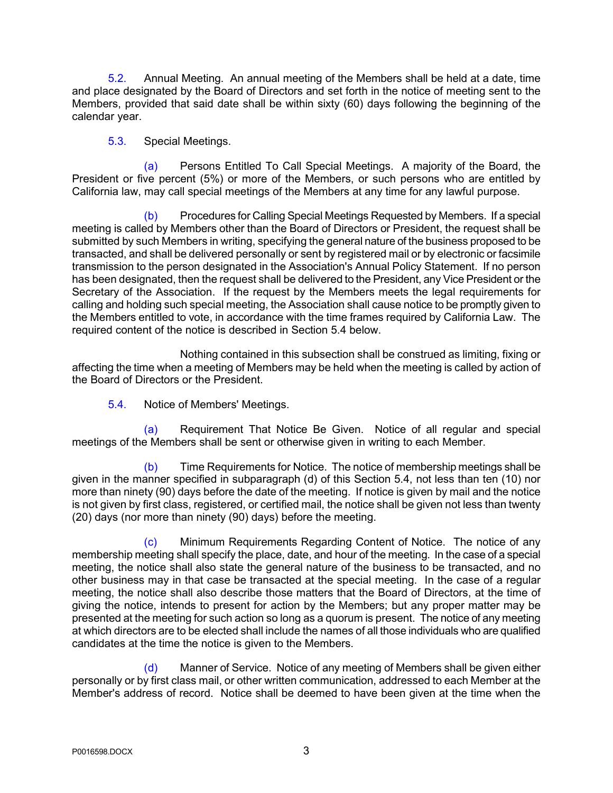5.2. Annual Meeting. An annual meeting of the Members shall be held at a date, time and place designated by the Board of Directors and set forth in the notice of meeting sent to the Members, provided that said date shall be within sixty (60) days following the beginning of the calendar year.

### 5.3. Special Meetings.

(a) Persons Entitled To Call Special Meetings. A majority of the Board, the President or five percent (5%) or more of the Members, or such persons who are entitled by California law, may call special meetings of the Members at any time for any lawful purpose.

(b) Procedures for Calling Special Meetings Requested by Members. If a special meeting is called by Members other than the Board of Directors or President, the request shall be submitted by such Members in writing, specifying the general nature of the business proposed to be transacted, and shall be delivered personally or sent by registered mail or by electronic or facsimile transmission to the person designated in the Association's Annual Policy Statement. If no person has been designated, then the request shall be delivered to the President, any Vice President or the Secretary of the Association. If the request by the Members meets the legal requirements for calling and holding such special meeting, the Association shall cause notice to be promptly given to the Members entitled to vote, in accordance with the time frames required by California Law. The required content of the notice is described in Section 5.4 below.

Nothing contained in this subsection shall be construed as limiting, fixing or affecting the time when a meeting of Members may be held when the meeting is called by action of the Board of Directors or the President.

5.4. Notice of Members' Meetings.

(a) Requirement That Notice Be Given. Notice of all regular and special meetings of the Members shall be sent or otherwise given in writing to each Member.

(b) Time Requirements for Notice. The notice of membership meetings shall be given in the manner specified in subparagraph (d) of this Section 5.4, not less than ten (10) nor more than ninety (90) days before the date of the meeting. If notice is given by mail and the notice is not given by first class, registered, or certified mail, the notice shall be given not less than twenty (20) days (nor more than ninety (90) days) before the meeting.

(c) Minimum Requirements Regarding Content of Notice. The notice of any membership meeting shall specify the place, date, and hour of the meeting. In the case of a special meeting, the notice shall also state the general nature of the business to be transacted, and no other business may in that case be transacted at the special meeting. In the case of a regular meeting, the notice shall also describe those matters that the Board of Directors, at the time of giving the notice, intends to present for action by the Members; but any proper matter may be presented at the meeting for such action so long as a quorum is present. The notice of any meeting at which directors are to be elected shall include the names of all those individuals who are qualified candidates at the time the notice is given to the Members.

(d) Manner of Service. Notice of any meeting of Members shall be given either personally or by first class mail, or other written communication, addressed to each Member at the Member's address of record. Notice shall be deemed to have been given at the time when the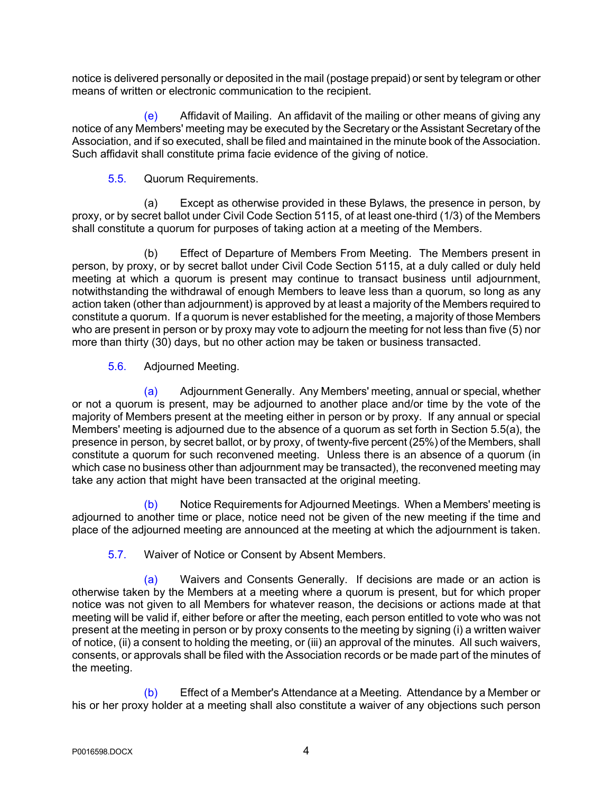notice is delivered personally or deposited in the mail (postage prepaid) or sent by telegram or other means of written or electronic communication to the recipient.

(e) Affidavit of Mailing. An affidavit of the mailing or other means of giving any notice of any Members' meeting may be executed by the Secretary or the Assistant Secretary of the Association, and if so executed, shall be filed and maintained in the minute book of the Association. Such affidavit shall constitute prima facie evidence of the giving of notice.

5.5. Quorum Requirements.

(a) Except as otherwise provided in these Bylaws, the presence in person, by proxy, or by secret ballot under Civil Code Section 5115, of at least one-third (1/3) of the Members shall constitute a quorum for purposes of taking action at a meeting of the Members.

(b) Effect of Departure of Members From Meeting. The Members present in person, by proxy, or by secret ballot under Civil Code Section 5115, at a duly called or duly held meeting at which a quorum is present may continue to transact business until adjournment, notwithstanding the withdrawal of enough Members to leave less than a quorum, so long as any action taken (other than adjournment) is approved by at least a majority of the Members required to constitute a quorum. If a quorum is never established for the meeting, a majority of those Members who are present in person or by proxy may vote to adjourn the meeting for not less than five (5) nor more than thirty (30) days, but no other action may be taken or business transacted.

5.6. Adjourned Meeting.

(a) Adjournment Generally. Any Members' meeting, annual or special, whether or not a quorum is present, may be adjourned to another place and/or time by the vote of the majority of Members present at the meeting either in person or by proxy. If any annual or special Members' meeting is adjourned due to the absence of a quorum as set forth in Section 5.5(a), the presence in person, by secret ballot, or by proxy, of twenty-five percent (25%) of the Members, shall constitute a quorum for such reconvened meeting. Unless there is an absence of a quorum (in which case no business other than adjournment may be transacted), the reconvened meeting may take any action that might have been transacted at the original meeting.

(b) Notice Requirements for Adjourned Meetings. When a Members' meeting is adjourned to another time or place, notice need not be given of the new meeting if the time and place of the adjourned meeting are announced at the meeting at which the adjournment is taken.

5.7. Waiver of Notice or Consent by Absent Members.

(a) Waivers and Consents Generally. If decisions are made or an action is otherwise taken by the Members at a meeting where a quorum is present, but for which proper notice was not given to all Members for whatever reason, the decisions or actions made at that meeting will be valid if, either before or after the meeting, each person entitled to vote who was not present at the meeting in person or by proxy consents to the meeting by signing (i) a written waiver of notice, (ii) a consent to holding the meeting, or (iii) an approval of the minutes. All such waivers, consents, or approvals shall be filed with the Association records or be made part of the minutes of the meeting.

(b) Effect of a Member's Attendance at a Meeting. Attendance by a Member or his or her proxy holder at a meeting shall also constitute a waiver of any objections such person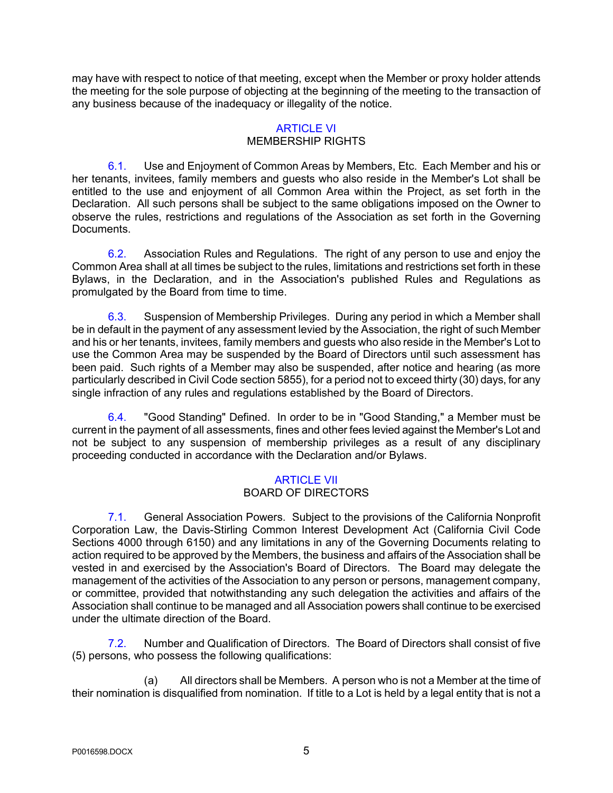may have with respect to notice of that meeting, except when the Member or proxy holder attends the meeting for the sole purpose of objecting at the beginning of the meeting to the transaction of any business because of the inadequacy or illegality of the notice.

## ARTICLE VI

### MEMBERSHIP RIGHTS

6.1. Use and Enjoyment of Common Areas by Members, Etc. Each Member and his or her tenants, invitees, family members and guests who also reside in the Member's Lot shall be entitled to the use and enjoyment of all Common Area within the Project, as set forth in the Declaration. All such persons shall be subject to the same obligations imposed on the Owner to observe the rules, restrictions and regulations of the Association as set forth in the Governing **Documents** 

6.2. Association Rules and Regulations. The right of any person to use and enjoy the Common Area shall at all times be subject to the rules, limitations and restrictions set forth in these Bylaws, in the Declaration, and in the Association's published Rules and Regulations as promulgated by the Board from time to time.

6.3. Suspension of Membership Privileges. During any period in which a Member shall be in default in the payment of any assessment levied by the Association, the right of such Member and his or her tenants, invitees, family members and guests who also reside in the Member's Lot to use the Common Area may be suspended by the Board of Directors until such assessment has been paid. Such rights of a Member may also be suspended, after notice and hearing (as more particularly described in Civil Code section 5855), for a period not to exceed thirty (30) days, for any single infraction of any rules and regulations established by the Board of Directors.

6.4. "Good Standing" Defined. In order to be in "Good Standing," a Member must be current in the payment of all assessments, fines and other fees levied against the Member's Lot and not be subject to any suspension of membership privileges as a result of any disciplinary proceeding conducted in accordance with the Declaration and/or Bylaws.

### ARTICLE VII BOARD OF DIRECTORS

7.1. General Association Powers. Subject to the provisions of the California Nonprofit Corporation Law, the Davis-Stirling Common Interest Development Act (California Civil Code Sections 4000 through 6150) and any limitations in any of the Governing Documents relating to action required to be approved by the Members, the business and affairs of the Association shall be vested in and exercised by the Association's Board of Directors. The Board may delegate the management of the activities of the Association to any person or persons, management company, or committee, provided that notwithstanding any such delegation the activities and affairs of the Association shall continue to be managed and all Association powers shall continue to be exercised under the ultimate direction of the Board.

7.2. Number and Qualification of Directors. The Board of Directors shall consist of five (5) persons, who possess the following qualifications:

(a) All directors shall be Members. A person who is not a Member at the time of their nomination is disqualified from nomination. If title to a Lot is held by a legal entity that is not a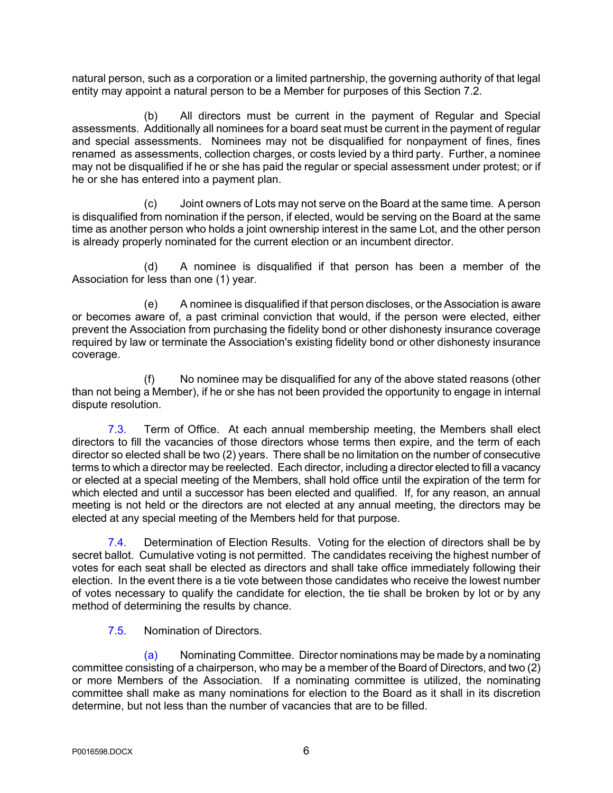natural person, such as a corporation or a limited partnership, the governing authority of that legal entity may appoint a natural person to be a Member for purposes of this Section 7.2.

(b) All directors must be current in the payment of Regular and Special assessments. Additionally all nominees for a board seat must be current in the payment of regular and special assessments. Nominees may not be disqualified for nonpayment of fines, fines renamed as assessments, collection charges, or costs levied by a third party. Further, a nominee may not be disqualified if he or she has paid the regular or special assessment under protest; or if he or she has entered into a payment plan.

(c) Joint owners of Lots may not serve on the Board at the same time. A person is disqualified from nomination if the person, if elected, would be serving on the Board at the same time as another person who holds a joint ownership interest in the same Lot, and the other person is already properly nominated for the current election or an incumbent director.

(d) A nominee is disqualified if that person has been a member of the Association for less than one (1) year.

(e) A nominee is disqualified if that person discloses, or the Association is aware or becomes aware of, a past criminal conviction that would, if the person were elected, either prevent the Association from purchasing the fidelity bond or other dishonesty insurance coverage required by law or terminate the Association's existing fidelity bond or other dishonesty insurance coverage.

(f) No nominee may be disqualified for any of the above stated reasons (other than not being a Member), if he or she has not been provided the opportunity to engage in internal dispute resolution.

7.3. Term of Office. At each annual membership meeting, the Members shall elect directors to fill the vacancies of those directors whose terms then expire, and the term of each director so elected shall be two (2) years. There shall be no limitation on the number of consecutive terms to which a director may be reelected. Each director, including a director elected to fill a vacancy or elected at a special meeting of the Members, shall hold office until the expiration of the term for which elected and until a successor has been elected and qualified. If, for any reason, an annual meeting is not held or the directors are not elected at any annual meeting, the directors may be elected at any special meeting of the Members held for that purpose.

7.4. Determination of Election Results. Voting for the election of directors shall be by secret ballot. Cumulative voting is not permitted. The candidates receiving the highest number of votes for each seat shall be elected as directors and shall take office immediately following their election. In the event there is a tie vote between those candidates who receive the lowest number of votes necessary to qualify the candidate for election, the tie shall be broken by lot or by any method of determining the results by chance.

7.5. Nomination of Directors.

(a) Nominating Committee. Director nominations may be made by a nominating committee consisting of a chairperson, who may be a member of the Board of Directors, and two (2) or more Members of the Association. If a nominating committee is utilized, the nominating committee shall make as many nominations for election to the Board as it shall in its discretion determine, but not less than the number of vacancies that are to be filled.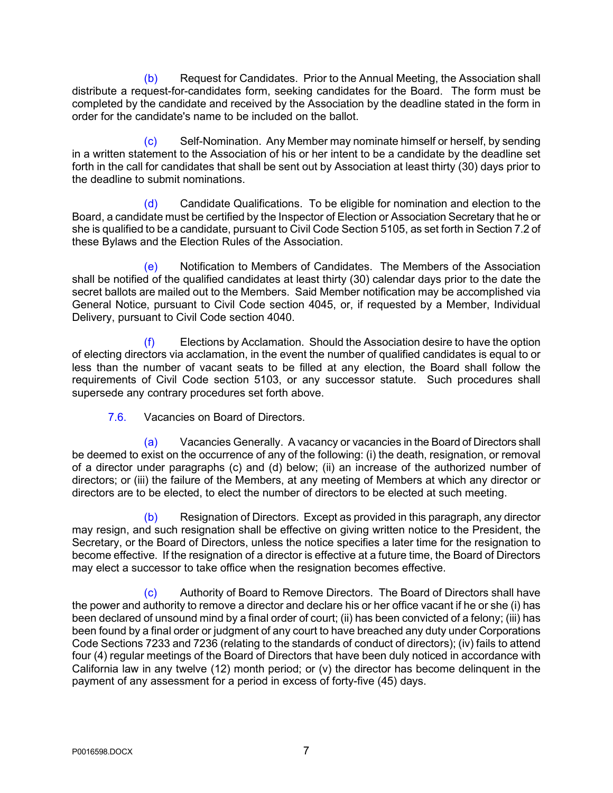(b) Request for Candidates. Prior to the Annual Meeting, the Association shall distribute a request-for-candidates form, seeking candidates for the Board. The form must be completed by the candidate and received by the Association by the deadline stated in the form in order for the candidate's name to be included on the ballot.

(c) Self-Nomination. Any Member may nominate himself or herself, by sending in a written statement to the Association of his or her intent to be a candidate by the deadline set forth in the call for candidates that shall be sent out by Association at least thirty (30) days prior to the deadline to submit nominations.

(d) Candidate Qualifications. To be eligible for nomination and election to the Board, a candidate must be certified by the Inspector of Election or Association Secretary that he or she is qualified to be a candidate, pursuant to Civil Code Section 5105, as set forth in Section 7.2 of these Bylaws and the Election Rules of the Association.

(e) Notification to Members of Candidates. The Members of the Association shall be notified of the qualified candidates at least thirty (30) calendar days prior to the date the secret ballots are mailed out to the Members. Said Member notification may be accomplished via General Notice, pursuant to Civil Code section 4045, or, if requested by a Member, Individual Delivery, pursuant to Civil Code section 4040.

(f) Elections by Acclamation. Should the Association desire to have the option of electing directors via acclamation, in the event the number of qualified candidates is equal to or less than the number of vacant seats to be filled at any election, the Board shall follow the requirements of Civil Code section 5103, or any successor statute. Such procedures shall supersede any contrary procedures set forth above.

7.6. Vacancies on Board of Directors.

(a) Vacancies Generally. A vacancy or vacancies in the Board of Directors shall be deemed to exist on the occurrence of any of the following: (i) the death, resignation, or removal of a director under paragraphs (c) and (d) below; (ii) an increase of the authorized number of directors; or (iii) the failure of the Members, at any meeting of Members at which any director or directors are to be elected, to elect the number of directors to be elected at such meeting.

(b) Resignation of Directors. Except as provided in this paragraph, any director may resign, and such resignation shall be effective on giving written notice to the President, the Secretary, or the Board of Directors, unless the notice specifies a later time for the resignation to become effective. If the resignation of a director is effective at a future time, the Board of Directors may elect a successor to take office when the resignation becomes effective.

(c) Authority of Board to Remove Directors. The Board of Directors shall have the power and authority to remove a director and declare his or her office vacant if he or she (i) has been declared of unsound mind by a final order of court; (ii) has been convicted of a felony; (iii) has been found by a final order or judgment of any court to have breached any duty under Corporations Code Sections 7233 and 7236 (relating to the standards of conduct of directors); (iv) fails to attend four (4) regular meetings of the Board of Directors that have been duly noticed in accordance with California law in any twelve (12) month period; or (v) the director has become delinquent in the payment of any assessment for a period in excess of forty-five (45) days.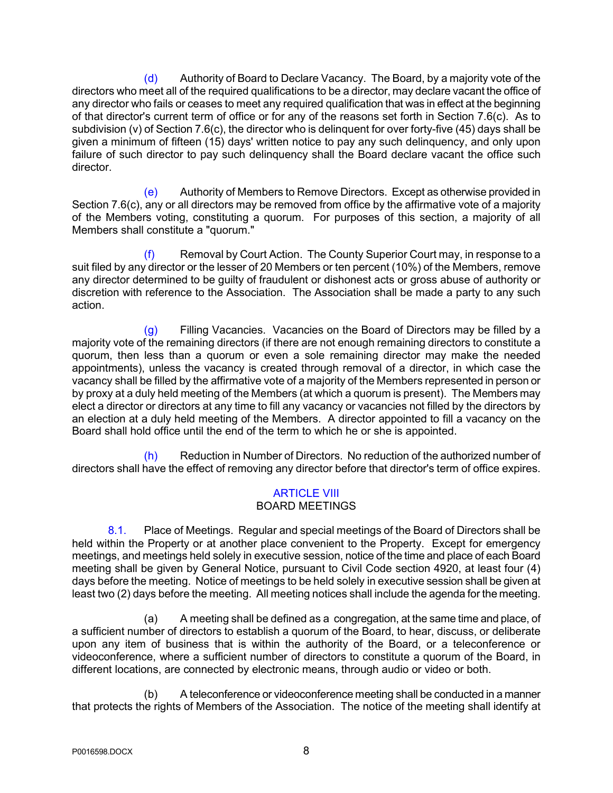(d) Authority of Board to Declare Vacancy. The Board, by a majority vote of the directors who meet all of the required qualifications to be a director, may declare vacant the office of any director who fails or ceases to meet any required qualification that was in effect at the beginning of that director's current term of office or for any of the reasons set forth in Section 7.6(c). As to subdivision (v) of Section 7.6(c), the director who is delinquent for over forty-five (45) days shall be given a minimum of fifteen (15) days' written notice to pay any such delinquency, and only upon failure of such director to pay such delinquency shall the Board declare vacant the office such director.

(e) Authority of Members to Remove Directors. Except as otherwise provided in Section 7.6(c), any or all directors may be removed from office by the affirmative vote of a majority of the Members voting, constituting a quorum. For purposes of this section, a majority of all Members shall constitute a "quorum."

(f) Removal by Court Action. The County Superior Court may, in response to a suit filed by any director or the lesser of 20 Members or ten percent (10%) of the Members, remove any director determined to be guilty of fraudulent or dishonest acts or gross abuse of authority or discretion with reference to the Association. The Association shall be made a party to any such action.

(g) Filling Vacancies. Vacancies on the Board of Directors may be filled by a majority vote of the remaining directors (if there are not enough remaining directors to constitute a quorum, then less than a quorum or even a sole remaining director may make the needed appointments), unless the vacancy is created through removal of a director, in which case the vacancy shall be filled by the affirmative vote of a majority of the Members represented in person or by proxy at a duly held meeting of the Members (at which a quorum is present). The Members may elect a director or directors at any time to fill any vacancy or vacancies not filled by the directors by an election at a duly held meeting of the Members. A director appointed to fill a vacancy on the Board shall hold office until the end of the term to which he or she is appointed.

(h) Reduction in Number of Directors. No reduction of the authorized number of directors shall have the effect of removing any director before that director's term of office expires.

#### ARTICLE VIII BOARD MEETINGS

8.1. Place of Meetings. Regular and special meetings of the Board of Directors shall be held within the Property or at another place convenient to the Property. Except for emergency meetings, and meetings held solely in executive session, notice of the time and place of each Board meeting shall be given by General Notice, pursuant to Civil Code section 4920, at least four (4) days before the meeting. Notice of meetings to be held solely in executive session shall be given at least two (2) days before the meeting. All meeting notices shall include the agenda for the meeting.

(a) A meeting shall be defined as a congregation, at the same time and place, of a sufficient number of directors to establish a quorum of the Board, to hear, discuss, or deliberate upon any item of business that is within the authority of the Board, or a teleconference or videoconference, where a sufficient number of directors to constitute a quorum of the Board, in different locations, are connected by electronic means, through audio or video or both.

A teleconference or videoconference meeting shall be conducted in a manner that protects the rights of Members of the Association. The notice of the meeting shall identify at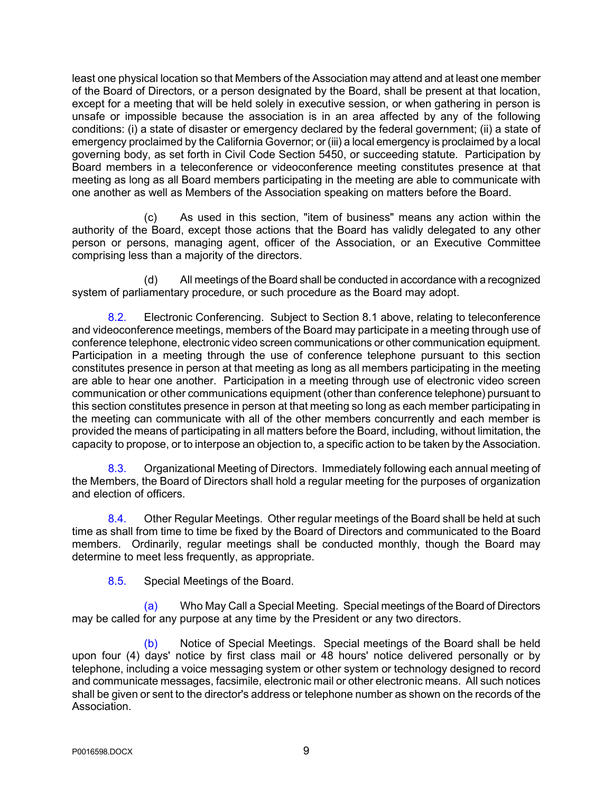least one physical location so that Members of the Association may attend and at least one member of the Board of Directors, or a person designated by the Board, shall be present at that location, except for a meeting that will be held solely in executive session, or when gathering in person is unsafe or impossible because the association is in an area affected by any of the following conditions: (i) a state of disaster or emergency declared by the federal government; (ii) a state of emergency proclaimed by the California Governor; or (iii) a local emergency is proclaimed by a local governing body, as set forth in Civil Code Section 5450, or succeeding statute. Participation by Board members in a teleconference or videoconference meeting constitutes presence at that meeting as long as all Board members participating in the meeting are able to communicate with one another as well as Members of the Association speaking on matters before the Board.

(c) As used in this section, "item of business" means any action within the authority of the Board, except those actions that the Board has validly delegated to any other person or persons, managing agent, officer of the Association, or an Executive Committee comprising less than a majority of the directors.

(d) All meetings of the Board shall be conducted in accordance with a recognized system of parliamentary procedure, or such procedure as the Board may adopt.

8.2. Electronic Conferencing. Subject to Section 8.1 above, relating to teleconference and videoconference meetings, members of the Board may participate in a meeting through use of conference telephone, electronic video screen communications or other communication equipment. Participation in a meeting through the use of conference telephone pursuant to this section constitutes presence in person at that meeting as long as all members participating in the meeting are able to hear one another. Participation in a meeting through use of electronic video screen communication or other communications equipment (other than conference telephone) pursuant to this section constitutes presence in person at that meeting so long as each member participating in the meeting can communicate with all of the other members concurrently and each member is provided the means of participating in all matters before the Board, including, without limitation, the capacity to propose, or to interpose an objection to, a specific action to be taken by the Association.

8.3. Organizational Meeting of Directors. Immediately following each annual meeting of the Members, the Board of Directors shall hold a regular meeting for the purposes of organization and election of officers.

8.4. Other Regular Meetings. Other regular meetings of the Board shall be held at such time as shall from time to time be fixed by the Board of Directors and communicated to the Board members. Ordinarily, regular meetings shall be conducted monthly, though the Board may determine to meet less frequently, as appropriate.

8.5. Special Meetings of the Board.

(a) Who May Call a Special Meeting. Special meetings of the Board of Directors may be called for any purpose at any time by the President or any two directors.

(b) Notice of Special Meetings. Special meetings of the Board shall be held upon four (4) days' notice by first class mail or 48 hours' notice delivered personally or by telephone, including a voice messaging system or other system or technology designed to record and communicate messages, facsimile, electronic mail or other electronic means. All such notices shall be given or sent to the director's address or telephone number as shown on the records of the Association.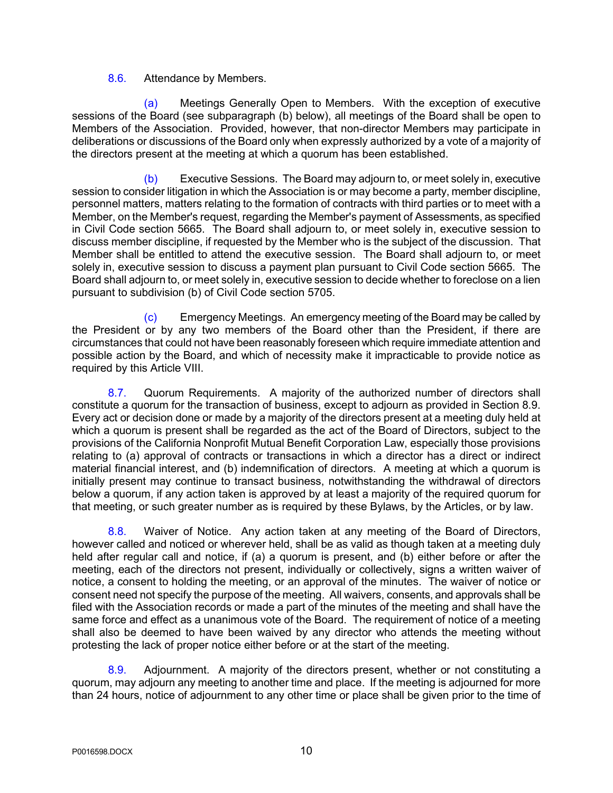### 8.6. Attendance by Members.

(a) Meetings Generally Open to Members. With the exception of executive sessions of the Board (see subparagraph (b) below), all meetings of the Board shall be open to Members of the Association. Provided, however, that non-director Members may participate in deliberations or discussions of the Board only when expressly authorized by a vote of a majority of the directors present at the meeting at which a quorum has been established.

(b) Executive Sessions. The Board may adjourn to, or meet solely in, executive session to consider litigation in which the Association is or may become a party, member discipline, personnel matters, matters relating to the formation of contracts with third parties or to meet with a Member, on the Member's request, regarding the Member's payment of Assessments, as specified in Civil Code section 5665. The Board shall adjourn to, or meet solely in, executive session to discuss member discipline, if requested by the Member who is the subject of the discussion. That Member shall be entitled to attend the executive session. The Board shall adjourn to, or meet solely in, executive session to discuss a payment plan pursuant to Civil Code section 5665. The Board shall adjourn to, or meet solely in, executive session to decide whether to foreclose on a lien pursuant to subdivision (b) of Civil Code section 5705.

(c) Emergency Meetings. An emergency meeting of the Board may be called by the President or by any two members of the Board other than the President, if there are circumstances that could not have been reasonably foreseen which require immediate attention and possible action by the Board, and which of necessity make it impracticable to provide notice as required by this Article VIII.

8.7. Quorum Requirements. A majority of the authorized number of directors shall constitute a quorum for the transaction of business, except to adjourn as provided in Section 8.9. Every act or decision done or made by a majority of the directors present at a meeting duly held at which a quorum is present shall be regarded as the act of the Board of Directors, subject to the provisions of the California Nonprofit Mutual Benefit Corporation Law, especially those provisions relating to (a) approval of contracts or transactions in which a director has a direct or indirect material financial interest, and (b) indemnification of directors. A meeting at which a quorum is initially present may continue to transact business, notwithstanding the withdrawal of directors below a quorum, if any action taken is approved by at least a majority of the required quorum for that meeting, or such greater number as is required by these Bylaws, by the Articles, or by law.

8.8. Waiver of Notice. Any action taken at any meeting of the Board of Directors, however called and noticed or wherever held, shall be as valid as though taken at a meeting duly held after regular call and notice, if (a) a quorum is present, and (b) either before or after the meeting, each of the directors not present, individually or collectively, signs a written waiver of notice, a consent to holding the meeting, or an approval of the minutes. The waiver of notice or consent need not specify the purpose of the meeting. All waivers, consents, and approvals shall be filed with the Association records or made a part of the minutes of the meeting and shall have the same force and effect as a unanimous vote of the Board. The requirement of notice of a meeting shall also be deemed to have been waived by any director who attends the meeting without protesting the lack of proper notice either before or at the start of the meeting.

8.9. Adjournment. A majority of the directors present, whether or not constituting a quorum, may adjourn any meeting to another time and place. If the meeting is adjourned for more than 24 hours, notice of adjournment to any other time or place shall be given prior to the time of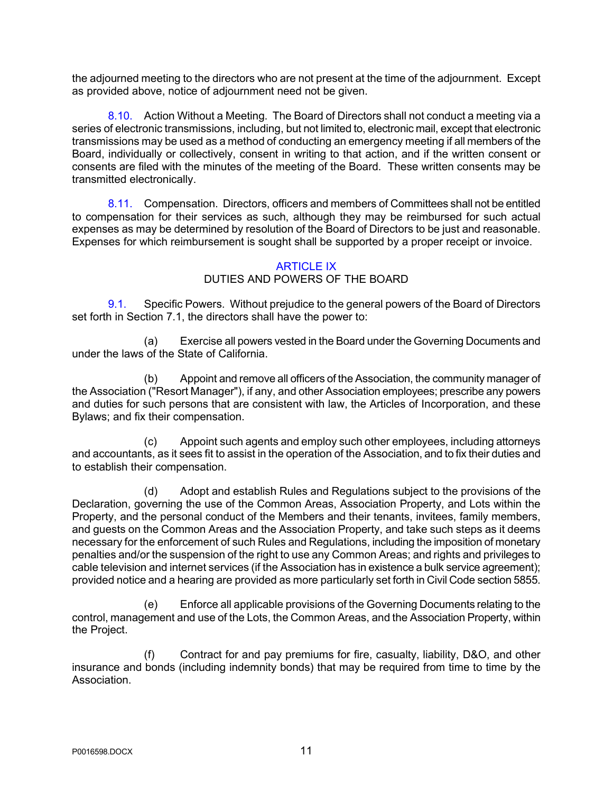the adjourned meeting to the directors who are not present at the time of the adjournment. Except as provided above, notice of adjournment need not be given.

8.10. Action Without a Meeting. The Board of Directors shall not conduct a meeting via a series of electronic transmissions, including, but not limited to, electronic mail, except that electronic transmissions may be used as a method of conducting an emergency meeting if all members of the Board, individually or collectively, consent in writing to that action, and if the written consent or consents are filed with the minutes of the meeting of the Board. These written consents may be transmitted electronically.

8.11. Compensation. Directors, officers and members of Committees shall not be entitled to compensation for their services as such, although they may be reimbursed for such actual expenses as may be determined by resolution of the Board of Directors to be just and reasonable. Expenses for which reimbursement is sought shall be supported by a proper receipt or invoice.

#### ARTICLE IX

### DUTIES AND POWERS OF THE BOARD

9.1. Specific Powers. Without prejudice to the general powers of the Board of Directors set forth in Section 7.1, the directors shall have the power to:

(a) Exercise all powers vested in the Board under the Governing Documents and under the laws of the State of California.

(b) Appoint and remove all officers of the Association, the community manager of the Association ("Resort Manager"), if any, and other Association employees; prescribe any powers and duties for such persons that are consistent with law, the Articles of Incorporation, and these Bylaws; and fix their compensation.

(c) Appoint such agents and employ such other employees, including attorneys and accountants, as it sees fit to assist in the operation of the Association, and to fix their duties and to establish their compensation.

(d) Adopt and establish Rules and Regulations subject to the provisions of the Declaration, governing the use of the Common Areas, Association Property, and Lots within the Property, and the personal conduct of the Members and their tenants, invitees, family members, and guests on the Common Areas and the Association Property, and take such steps as it deems necessary for the enforcement of such Rules and Regulations, including the imposition of monetary penalties and/or the suspension of the right to use any Common Areas; and rights and privileges to cable television and internet services (if the Association has in existence a bulk service agreement); provided notice and a hearing are provided as more particularly set forth in Civil Code section 5855.

(e) Enforce all applicable provisions of the Governing Documents relating to the control, management and use of the Lots, the Common Areas, and the Association Property, within the Project.

(f) Contract for and pay premiums for fire, casualty, liability, D&O, and other insurance and bonds (including indemnity bonds) that may be required from time to time by the Association.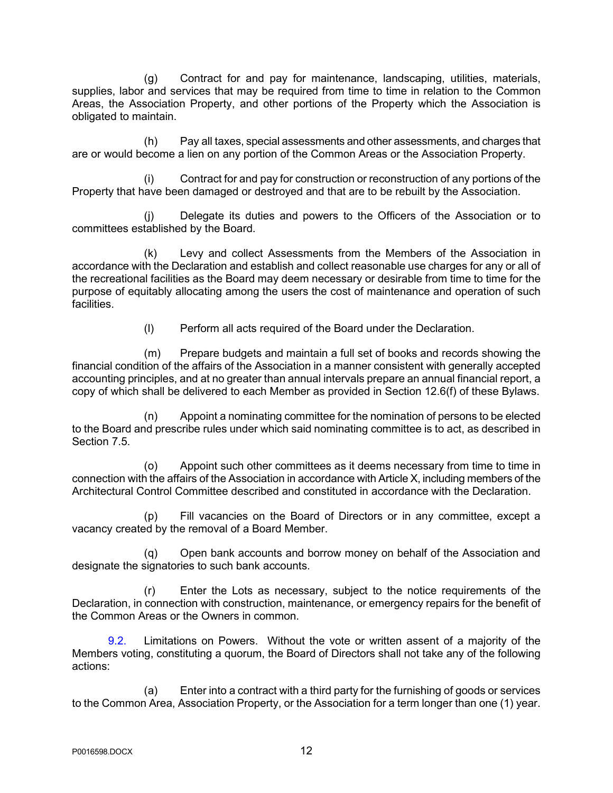(g) Contract for and pay for maintenance, landscaping, utilities, materials, supplies, labor and services that may be required from time to time in relation to the Common Areas, the Association Property, and other portions of the Property which the Association is obligated to maintain.

(h) Pay all taxes, special assessments and other assessments, and charges that are or would become a lien on any portion of the Common Areas or the Association Property.

(i) Contract for and pay for construction or reconstruction of any portions of the Property that have been damaged or destroyed and that are to be rebuilt by the Association.

(j) Delegate its duties and powers to the Officers of the Association or to committees established by the Board.

(k) Levy and collect Assessments from the Members of the Association in accordance with the Declaration and establish and collect reasonable use charges for any or all of the recreational facilities as the Board may deem necessary or desirable from time to time for the purpose of equitably allocating among the users the cost of maintenance and operation of such facilities.

(l) Perform all acts required of the Board under the Declaration.

(m) Prepare budgets and maintain a full set of books and records showing the financial condition of the affairs of the Association in a manner consistent with generally accepted accounting principles, and at no greater than annual intervals prepare an annual financial report, a copy of which shall be delivered to each Member as provided in Section 12.6(f) of these Bylaws.

(n) Appoint a nominating committee for the nomination of persons to be elected to the Board and prescribe rules under which said nominating committee is to act, as described in Section 7.5.

(o) Appoint such other committees as it deems necessary from time to time in connection with the affairs of the Association in accordance with Article X, including members of the Architectural Control Committee described and constituted in accordance with the Declaration.

(p) Fill vacancies on the Board of Directors or in any committee, except a vacancy created by the removal of a Board Member.

(q) Open bank accounts and borrow money on behalf of the Association and designate the signatories to such bank accounts.

(r) Enter the Lots as necessary, subject to the notice requirements of the Declaration, in connection with construction, maintenance, or emergency repairs for the benefit of the Common Areas or the Owners in common.

9.2. Limitations on Powers. Without the vote or written assent of a majority of the Members voting, constituting a quorum, the Board of Directors shall not take any of the following actions:

(a) Enter into a contract with a third party for the furnishing of goods or services to the Common Area, Association Property, or the Association for a term longer than one (1) year.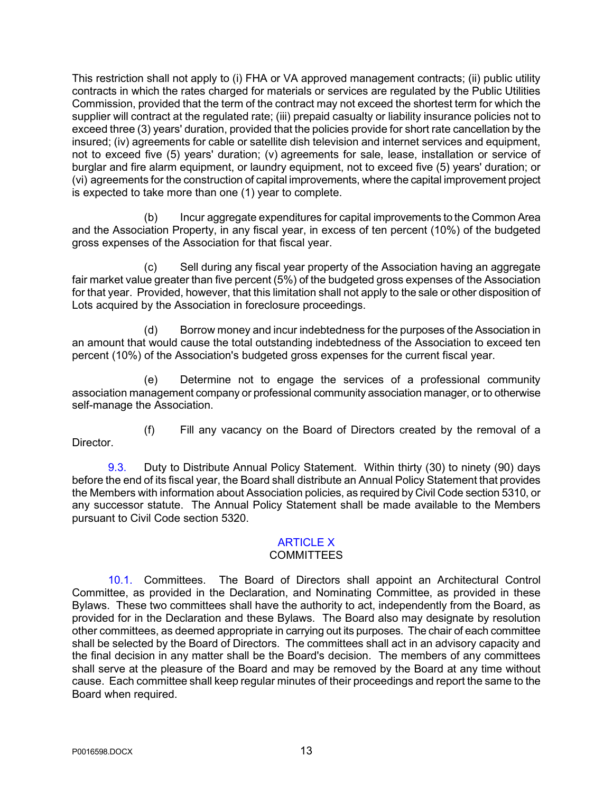This restriction shall not apply to (i) FHA or VA approved management contracts; (ii) public utility contracts in which the rates charged for materials or services are regulated by the Public Utilities Commission, provided that the term of the contract may not exceed the shortest term for which the supplier will contract at the regulated rate; (iii) prepaid casualty or liability insurance policies not to exceed three (3) years' duration, provided that the policies provide for short rate cancellation by the insured; (iv) agreements for cable or satellite dish television and internet services and equipment, not to exceed five (5) years' duration; (v) agreements for sale, lease, installation or service of burglar and fire alarm equipment, or laundry equipment, not to exceed five (5) years' duration; or (vi) agreements for the construction of capital improvements, where the capital improvement project is expected to take more than one (1) year to complete.

(b) Incur aggregate expenditures for capital improvements to the Common Area and the Association Property, in any fiscal year, in excess of ten percent (10%) of the budgeted gross expenses of the Association for that fiscal year.

(c) Sell during any fiscal year property of the Association having an aggregate fair market value greater than five percent (5%) of the budgeted gross expenses of the Association for that year. Provided, however, that this limitation shall not apply to the sale or other disposition of Lots acquired by the Association in foreclosure proceedings.

(d) Borrow money and incur indebtedness for the purposes of the Association in an amount that would cause the total outstanding indebtedness of the Association to exceed ten percent (10%) of the Association's budgeted gross expenses for the current fiscal year.

(e) Determine not to engage the services of a professional community association management company or professional community association manager, or to otherwise self-manage the Association.

(f) Fill any vacancy on the Board of Directors created by the removal of a Director.

9.3. Duty to Distribute Annual Policy Statement. Within thirty (30) to ninety (90) days before the end of its fiscal year, the Board shall distribute an Annual Policy Statement that provides the Members with information about Association policies, as required by Civil Code section 5310, or any successor statute. The Annual Policy Statement shall be made available to the Members pursuant to Civil Code section 5320.

## ARTICLE X

### **COMMITTEES**

10.1. Committees. The Board of Directors shall appoint an Architectural Control Committee, as provided in the Declaration, and Nominating Committee, as provided in these Bylaws. These two committees shall have the authority to act, independently from the Board, as provided for in the Declaration and these Bylaws. The Board also may designate by resolution other committees, as deemed appropriate in carrying out its purposes. The chair of each committee shall be selected by the Board of Directors. The committees shall act in an advisory capacity and the final decision in any matter shall be the Board's decision. The members of any committees shall serve at the pleasure of the Board and may be removed by the Board at any time without cause. Each committee shall keep regular minutes of their proceedings and report the same to the Board when required.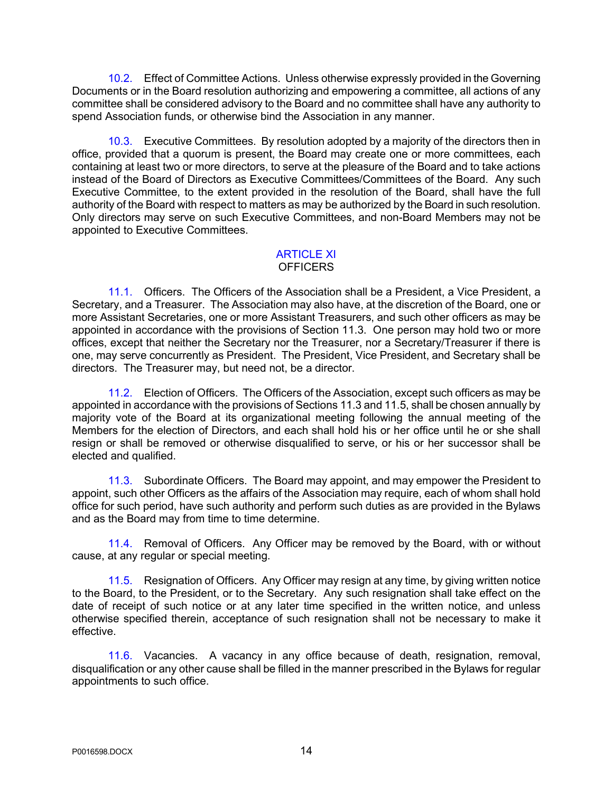10.2. Effect of Committee Actions. Unless otherwise expressly provided in the Governing Documents or in the Board resolution authorizing and empowering a committee, all actions of any committee shall be considered advisory to the Board and no committee shall have any authority to spend Association funds, or otherwise bind the Association in any manner.

10.3. Executive Committees. By resolution adopted by a majority of the directors then in office, provided that a quorum is present, the Board may create one or more committees, each containing at least two or more directors, to serve at the pleasure of the Board and to take actions instead of the Board of Directors as Executive Committees/Committees of the Board. Any such Executive Committee, to the extent provided in the resolution of the Board, shall have the full authority of the Board with respect to matters as may be authorized by the Board in such resolution. Only directors may serve on such Executive Committees, and non-Board Members may not be appointed to Executive Committees.

#### ARTICLE XI **OFFICERS**

11.1. Officers. The Officers of the Association shall be a President, a Vice President, a Secretary, and a Treasurer. The Association may also have, at the discretion of the Board, one or more Assistant Secretaries, one or more Assistant Treasurers, and such other officers as may be appointed in accordance with the provisions of Section 11.3. One person may hold two or more offices, except that neither the Secretary nor the Treasurer, nor a Secretary/Treasurer if there is one, may serve concurrently as President. The President, Vice President, and Secretary shall be directors. The Treasurer may, but need not, be a director.

11.2. Election of Officers. The Officers of the Association, except such officers as may be appointed in accordance with the provisions of Sections 11.3 and 11.5, shall be chosen annually by majority vote of the Board at its organizational meeting following the annual meeting of the Members for the election of Directors, and each shall hold his or her office until he or she shall resign or shall be removed or otherwise disqualified to serve, or his or her successor shall be elected and qualified.

11.3. Subordinate Officers. The Board may appoint, and may empower the President to appoint, such other Officers as the affairs of the Association may require, each of whom shall hold office for such period, have such authority and perform such duties as are provided in the Bylaws and as the Board may from time to time determine.

11.4. Removal of Officers. Any Officer may be removed by the Board, with or without cause, at any regular or special meeting.

11.5. Resignation of Officers. Any Officer may resign at any time, by giving written notice to the Board, to the President, or to the Secretary. Any such resignation shall take effect on the date of receipt of such notice or at any later time specified in the written notice, and unless otherwise specified therein, acceptance of such resignation shall not be necessary to make it effective.

11.6. Vacancies. A vacancy in any office because of death, resignation, removal, disqualification or any other cause shall be filled in the manner prescribed in the Bylaws for regular appointments to such office.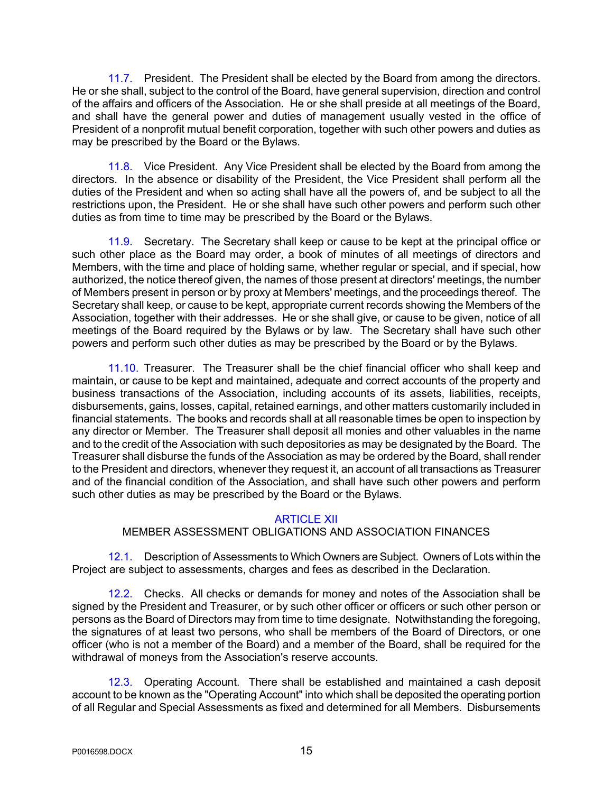11.7. President. The President shall be elected by the Board from among the directors. He or she shall, subject to the control of the Board, have general supervision, direction and control of the affairs and officers of the Association. He or she shall preside at all meetings of the Board, and shall have the general power and duties of management usually vested in the office of President of a nonprofit mutual benefit corporation, together with such other powers and duties as may be prescribed by the Board or the Bylaws.

11.8. Vice President. Any Vice President shall be elected by the Board from among the directors. In the absence or disability of the President, the Vice President shall perform all the duties of the President and when so acting shall have all the powers of, and be subject to all the restrictions upon, the President. He or she shall have such other powers and perform such other duties as from time to time may be prescribed by the Board or the Bylaws.

11.9. Secretary. The Secretary shall keep or cause to be kept at the principal office or such other place as the Board may order, a book of minutes of all meetings of directors and Members, with the time and place of holding same, whether regular or special, and if special, how authorized, the notice thereof given, the names of those present at directors' meetings, the number of Members present in person or by proxy at Members' meetings, and the proceedings thereof. The Secretary shall keep, or cause to be kept, appropriate current records showing the Members of the Association, together with their addresses. He or she shall give, or cause to be given, notice of all meetings of the Board required by the Bylaws or by law. The Secretary shall have such other powers and perform such other duties as may be prescribed by the Board or by the Bylaws.

11.10. Treasurer. The Treasurer shall be the chief financial officer who shall keep and maintain, or cause to be kept and maintained, adequate and correct accounts of the property and business transactions of the Association, including accounts of its assets, liabilities, receipts, disbursements, gains, losses, capital, retained earnings, and other matters customarily included in financial statements. The books and records shall at all reasonable times be open to inspection by any director or Member. The Treasurer shall deposit all monies and other valuables in the name and to the credit of the Association with such depositories as may be designated by the Board. The Treasurer shall disburse the funds of the Association as may be ordered by the Board, shall render to the President and directors, whenever they request it, an account of all transactions as Treasurer and of the financial condition of the Association, and shall have such other powers and perform such other duties as may be prescribed by the Board or the Bylaws.

### ARTICLE XII

### MEMBER ASSESSMENT OBLIGATIONS AND ASSOCIATION FINANCES

12.1. Description of Assessments to Which Owners are Subject. Owners of Lots within the Project are subject to assessments, charges and fees as described in the Declaration.

12.2. Checks. All checks or demands for money and notes of the Association shall be signed by the President and Treasurer, or by such other officer or officers or such other person or persons as the Board of Directors may from time to time designate. Notwithstanding the foregoing, the signatures of at least two persons, who shall be members of the Board of Directors, or one officer (who is not a member of the Board) and a member of the Board, shall be required for the withdrawal of moneys from the Association's reserve accounts.

12.3. Operating Account. There shall be established and maintained a cash deposit account to be known as the "Operating Account" into which shall be deposited the operating portion of all Regular and Special Assessments as fixed and determined for all Members. Disbursements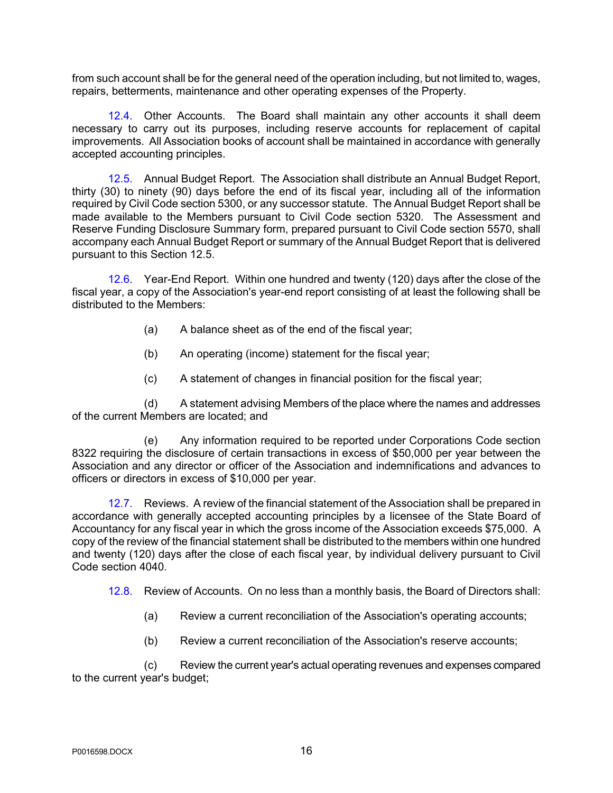from such account shall be for the general need of the operation including, but not limited to, wages, repairs, betterments, maintenance and other operating expenses of the Property.

12.4. Other Accounts. The Board shall maintain any other accounts it shall deem necessary to carry out its purposes, including reserve accounts for replacement of capital improvements. All Association books of account shall be maintained in accordance with generally accepted accounting principles.

12.5. Annual Budget Report. The Association shall distribute an Annual Budget Report, thirty (30) to ninety (90) days before the end of its fiscal year, including all of the information required by Civil Code section 5300, or any successor statute. The Annual Budget Report shall be made available to the Members pursuant to Civil Code section 5320. The Assessment and Reserve Funding Disclosure Summary form, prepared pursuant to Civil Code section 5570, shall accompany each Annual Budget Report or summary of the Annual Budget Report that is delivered pursuant to this Section 12.5.

12.6. Year-End Report. Within one hundred and twenty (120) days after the close of the fiscal year, a copy of the Association's year-end report consisting of at least the following shall be distributed to the Members:

- (a) A balance sheet as of the end of the fiscal year;
- (b) An operating (income) statement for the fiscal year;
- (c) A statement of changes in financial position for the fiscal year;

(d) A statement advising Members of the place where the names and addresses of the current Members are located; and

(e) Any information required to be reported under Corporations Code section 8322 requiring the disclosure of certain transactions in excess of \$50,000 per year between the Association and any director or officer of the Association and indemnifications and advances to officers or directors in excess of \$10,000 per year.

12.7. Reviews. A review of the financial statement of the Association shall be prepared in accordance with generally accepted accounting principles by a licensee of the State Board of Accountancy for any fiscal year in which the gross income of the Association exceeds \$75,000. A copy of the review of the financial statement shall be distributed to the members within one hundred and twenty (120) days after the close of each fiscal year, by individual delivery pursuant to Civil Code section 4040.

12.8. Review of Accounts. On no less than a monthly basis, the Board of Directors shall:

- (a) Review a current reconciliation of the Association's operating accounts;
- (b) Review a current reconciliation of the Association's reserve accounts;

(c) Review the current year's actual operating revenues and expenses compared to the current year's budget;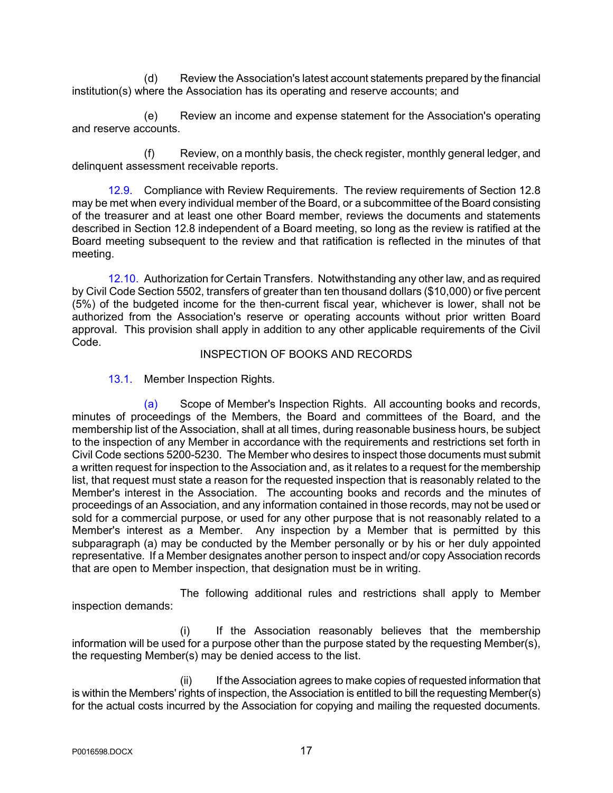(d) Review the Association's latest account statements prepared by the financial institution(s) where the Association has its operating and reserve accounts; and

(e) Review an income and expense statement for the Association's operating and reserve accounts.

(f) Review, on a monthly basis, the check register, monthly general ledger, and delinquent assessment receivable reports.

12.9. Compliance with Review Requirements. The review requirements of Section 12.8 may be met when every individual member of the Board, or a subcommittee of the Board consisting of the treasurer and at least one other Board member, reviews the documents and statements described in Section 12.8 independent of a Board meeting, so long as the review is ratified at the Board meeting subsequent to the review and that ratification is reflected in the minutes of that meeting.

12.10. Authorization for Certain Transfers. Notwithstanding any other law, and as required by Civil Code Section 5502, transfers of greater than ten thousand dollars (\$10,000) or five percent (5%) of the budgeted income for the then-current fiscal year, whichever is lower, shall not be authorized from the Association's reserve or operating accounts without prior written Board approval. This provision shall apply in addition to any other applicable requirements of the Civil Code.

#### INSPECTION OF BOOKS AND RECORDS

13.1. Member Inspection Rights.

(a) Scope of Member's Inspection Rights. All accounting books and records, minutes of proceedings of the Members, the Board and committees of the Board, and the membership list of the Association, shall at all times, during reasonable business hours, be subject to the inspection of any Member in accordance with the requirements and restrictions set forth in Civil Code sections 5200-5230. The Member who desires to inspect those documents must submit a written request for inspection to the Association and, as it relates to a request for the membership list, that request must state a reason for the requested inspection that is reasonably related to the Member's interest in the Association. The accounting books and records and the minutes of proceedings of an Association, and any information contained in those records, may not be used or sold for a commercial purpose, or used for any other purpose that is not reasonably related to a Member's interest as a Member. Any inspection by a Member that is permitted by this subparagraph (a) may be conducted by the Member personally or by his or her duly appointed representative. If a Member designates another person to inspect and/or copy Association records that are open to Member inspection, that designation must be in writing.

The following additional rules and restrictions shall apply to Member inspection demands:

(i) If the Association reasonably believes that the membership information will be used for a purpose other than the purpose stated by the requesting Member(s), the requesting Member(s) may be denied access to the list.

(ii) If the Association agrees to make copies of requested information that is within the Members' rights of inspection, the Association is entitled to bill the requesting Member(s) for the actual costs incurred by the Association for copying and mailing the requested documents.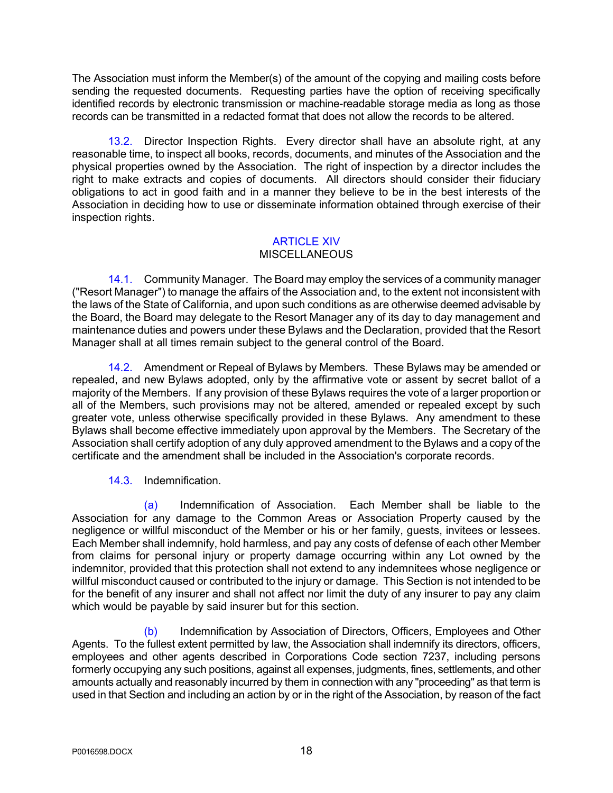The Association must inform the Member(s) of the amount of the copying and mailing costs before sending the requested documents. Requesting parties have the option of receiving specifically identified records by electronic transmission or machine-readable storage media as long as those records can be transmitted in a redacted format that does not allow the records to be altered.

13.2. Director Inspection Rights. Every director shall have an absolute right, at any reasonable time, to inspect all books, records, documents, and minutes of the Association and the physical properties owned by the Association. The right of inspection by a director includes the right to make extracts and copies of documents. All directors should consider their fiduciary obligations to act in good faith and in a manner they believe to be in the best interests of the Association in deciding how to use or disseminate information obtained through exercise of their inspection rights.

### ARTICLE XIV

### **MISCELLANEOUS**

14.1. Community Manager. The Board may employ the services of a community manager ("Resort Manager") to manage the affairs of the Association and, to the extent not inconsistent with the laws of the State of California, and upon such conditions as are otherwise deemed advisable by the Board, the Board may delegate to the Resort Manager any of its day to day management and maintenance duties and powers under these Bylaws and the Declaration, provided that the Resort Manager shall at all times remain subject to the general control of the Board.

14.2. Amendment or Repeal of Bylaws by Members. These Bylaws may be amended or repealed, and new Bylaws adopted, only by the affirmative vote or assent by secret ballot of a majority of the Members. If any provision of these Bylaws requires the vote of a larger proportion or all of the Members, such provisions may not be altered, amended or repealed except by such greater vote, unless otherwise specifically provided in these Bylaws. Any amendment to these Bylaws shall become effective immediately upon approval by the Members. The Secretary of the Association shall certify adoption of any duly approved amendment to the Bylaws and a copy of the certificate and the amendment shall be included in the Association's corporate records.

### 14.3. Indemnification.

(a) Indemnification of Association. Each Member shall be liable to the Association for any damage to the Common Areas or Association Property caused by the negligence or willful misconduct of the Member or his or her family, guests, invitees or lessees. Each Member shall indemnify, hold harmless, and pay any costs of defense of each other Member from claims for personal injury or property damage occurring within any Lot owned by the indemnitor, provided that this protection shall not extend to any indemnitees whose negligence or willful misconduct caused or contributed to the injury or damage. This Section is not intended to be for the benefit of any insurer and shall not affect nor limit the duty of any insurer to pay any claim which would be payable by said insurer but for this section.

(b) Indemnification by Association of Directors, Officers, Employees and Other Agents. To the fullest extent permitted by law, the Association shall indemnify its directors, officers, employees and other agents described in Corporations Code section 7237, including persons formerly occupying any such positions, against all expenses, judgments, fines, settlements, and other amounts actually and reasonably incurred by them in connection with any "proceeding" as that term is used in that Section and including an action by or in the right of the Association, by reason of the fact